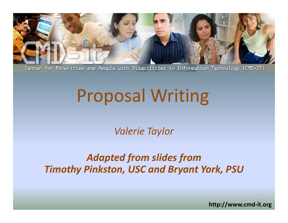

Center for Minorities and People with Disabilities in Information Technology (CMD-IT)

# Proposal Writing

*Valerie Taylor*

#### *Adapted from slides from Timothy Pinkston, USC and Bryant York, PSU*

http://www.cmd-it.org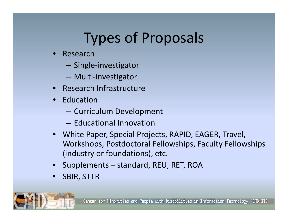## Types of Proposals

- • Research
	- Single-investigator
	- –Multi‐investigator
- •**•** Research Infrastructure
- •Education
	- Curriculum Development
	- Educational Innovation
- White Paper, Special Projects, RAPID, EAGER, Travel, Workshops, Postdoctoral Fellowships, Faculty Fellowships (industry or foundations), etc.
- •Supplements – standard, REU, RET, ROA
- •SBIR, STTR

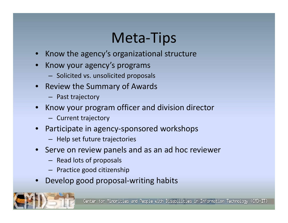## Meta‐Tips

- •**•** Know the agency's organizational structure
- •• Know your agency's programs
	- Solicited vs. unsolicited proposals
- •• Review the Summary of Awards
	- Past trajectory
- •• Know your program officer and division director
	- Current trajectory
- • Participate in agency‐sponsored workshops
	- Help set future trajectories
- Serve on review panels and as an ad hoc reviewer
	- Read lots of proposals
	- Practice good citizenship
- •Develop good proposal-writing habits

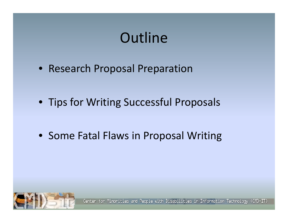## **Outline**

- Research Proposal Preparation
- Tips for Writing Successful Proposals
- Some Fatal Flaws in Proposal Writing

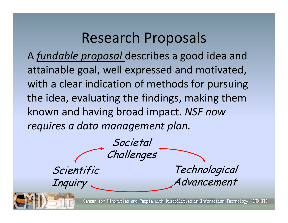### Research Proposals

A *fundable proposal* describes <sup>a</sup> good idea and attainable goal, well expressed and motivated, with <sup>a</sup> clear indication of methods for pursuing the idea, evaluating the findings, making them known and having broad impact. *NSF now requires <sup>a</sup> data management plan.*

**Societal** Challenges Scientific Inquiry **Technological** Advancement

Minorities and People with Disabilities in Information Technology (CMD-IT) Center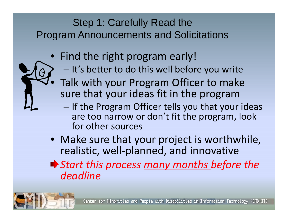#### Step 1: Carefully Read the Program Announcements and Solicitations

- Find the right program early!
	- $-$  It's better to do this well before you write
- $\bullet$  Talk with your Program Officer to make sure that your ideas fit in the program
	- $-$  If the Program Officer tells you that your ideas are too narrow or don't fit the program, look for other sources
- Make sure that your project is worthwhile, realistic, well ‐planned, and innovative
- *Start this process many months before the deadline*

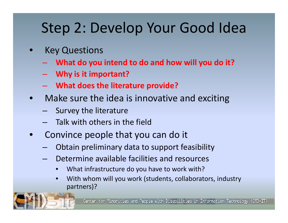## Step 2: Develop Your Good Idea

- $\bullet$  Key Questions
	- **What do you intend to do and how will you do it?**
	- **Why is it important?**
	- –**What does the literature provide?**
- $\bullet$  Make sure the idea is innovative and exciting
	- $-$  Survey the literature
	- Talk with others in the field
- $\bullet$ • Convince people that you can do it
	- Obtain preliminary data to support feasibility
	- Determine available facilities and resources
		- •What infrastructure do you have to work with?
		- •• With whom will you work (students, collaborators, industry partners)?

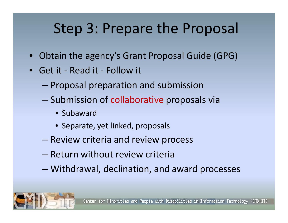## Step 3: Prepare the Proposal

- $\bullet$ Obtain the agency's Grant Proposal Guide (GPG)
- Get it ‐ Read it ‐ Follow it
	- Proposal preparation and submission
	- Submission of collaborative proposals via
		- Subaward
		- Separate, yet linked, proposals
	- Review criteria and review process
	- Return without review criteria
	- –Withdrawal, declination, and award processes

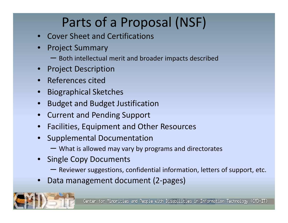## Parts of <sup>a</sup> Proposal (NSF)

- •Cover Sheet and Certifications
- • Project Summary
	- $-$  Both intellectual merit and broader impacts described
- •Project Description
- •References cited
- •Biographical Sketches
- •Budget and Budget Justification
- •**• Current and Pending Support**
- •**•** Facilities, Equipment and Other Resources
- • Supplemental Documentation
	- What is allowed may vary by programs and directorates
- • Single Copy Documents
	- Reviewer suggestions, confidential information, letters of support, etc.
- •Data management document (2‐pages)

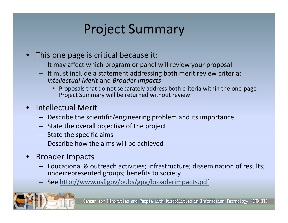### Project Summary

- This one page is critical because it:
	- It may affect which program or panel will review your proposal
	- It must include <sup>a</sup> statement addressing both merit review criteria: *Intellectual Merit* and *Broader Impacts*
		- Proposals that do not separately address both criteria within the one‐page Project Summary will be returned without review
- Intellectual Merit
	- Describe the scientific/engineering problem and its importance
	- State the overall objective of the project
	- State the specific aims
	- Describe how the aims will be achieved
- Broader Impacts
	- Educational & outreach activities; infrastructure; dissemination of results; underrepresented groups; benefits to society
	- See http://www.nsf.gov/pubs/gpg/broaderimpacts.pdf

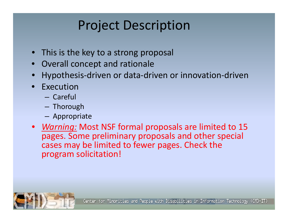## Project Description

- $\bullet$ • This is the key to a strong proposal
- $\bullet$ Overall concept and rationale
- •Hypothesis‐driven or data‐driven or innovation‐driven
- $\bullet$  Execution
	- Careful
	- Thorough
	- Appropriate
- *Warning:* Most NSF formal proposals are limited to 15 pages. Some preliminary proposals and other special cases may be limited to fewer pages. Check the program solicitation!

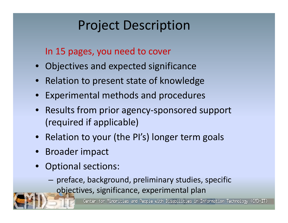### Project Description

In 15 pages, you need to cover

- Objectives and expected significance
- Relation to present state of knowledge
- Experimental methods and procedures
- $\bullet$ ● Results from prior agency-sponsored support (required if applicable)
- Relation to your (the PI's) longer term goals
- Broader impact
- • Optional sections:
	- – $-$  preface, background, preliminary studies, specific objectives, significance, experimental plan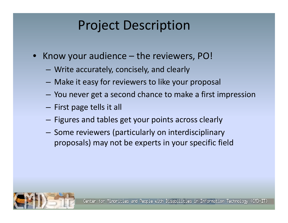#### Project Description

- $\bullet$ • Know your audience – the reviewers, PO!
	- – $-$  Write accurately, concisely, and clearly
	- –Make it easy for reviewers to like your proposal
	- – $-$  You never get a second chance to make a first impression
	- – $-$  First page tells it all
	- – $-$  Figures and tables get your points across clearly
	- – $-$  Some reviewers (particularly on interdisciplinary proposals) may not be experts in your specific field

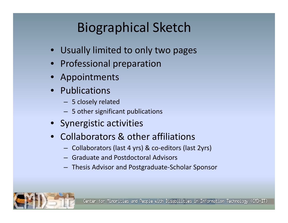## Biographical Sketch

- Usually limited to only two pages
- Professional preparation
- Appointments
- Publications
	- 5 closely related
	- 5 other significant publications
- Synergistic activities
- Collaborators & other affiliations
	- Collaborators (last 4 yrs) & co‐editors (last 2yrs)
	- Graduate and Postdoctoral Advisors
	- Thesis Advisor and Postgraduate‐Scholar Sponsor

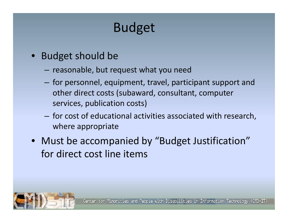## Budget

- $\bullet$  Budget should be
	- $-$  reasonable, but request what you need
	- $-$  for personnel, equipment, travel, participant support and other direct costs (subaward, consultant, computer services, publication costs)
	- $-$  for cost of educational activities associated with research, where appropriate
- Must be accompanied by "Budget Justification" for direct cost line items

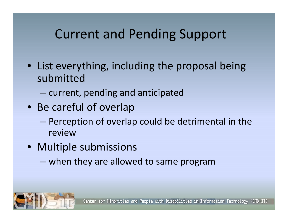#### Current and Pending Support

- List everything, including the proposal being submitted
	- – $-$  current, pending and anticipated
- Be careful of overlap
	- **Harry Committee**  Perception of overlap could be detrimental in the review
- Multiple submissions
	- – $-$  when they are allowed to same program

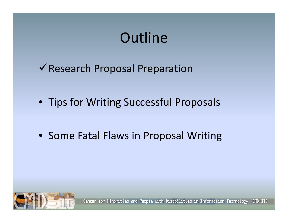## **Outline**

 $\checkmark$  Research Proposal Preparation

- Tips for Writing Successful Proposals
- Some Fatal Flaws in Proposal Writing

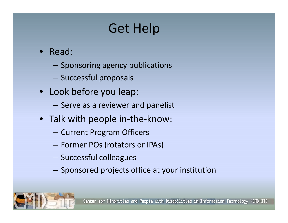## Get Help

- $\bullet$  Read:
	- $-$  Sponsoring agency publications
	- $-$  Successful proposals
- Look before you leap:
	- $-$  Serve as a reviewer and panelist
- Talk with people in‐the‐know:
	- – $-$  Current Program Officers
	- Former POs (rotators or IPAs)
	- $-$  Successful colleagues
	- $-$  Sponsored projects office at your institution

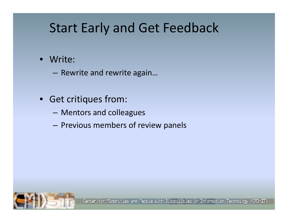#### Start Early and Get Feedback

- $\bullet$  Write:
	- – $-$  Rewrite and rewrite again...
- $\bullet$  $\bullet$  Get critiques from:
	- Mentors and colleagues
	- Previous members of review panels

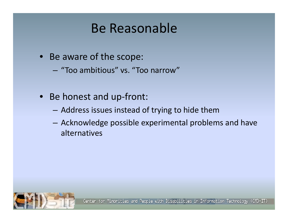#### Be Reasonable

- Be aware of the scope:
	- $-$  "Too ambitious" vs. "Too narrow"
- $\bullet$ ● Be honest and up-front:
	- Address issues instead of trying to hide them
	- $-$  Acknowledge possible experimental problems and have alternatives

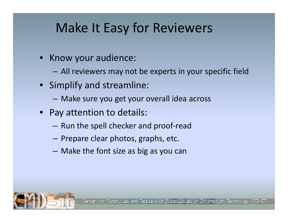#### Make It Easy for Reviewers

- $\bullet$ **•** Know your audience:
	- – $-$  All reviewers may not be experts in your specific field
- Simplify and streamline:
	- Make sure you get your overall idea across
- Pay attention to details:
	- $-$  Run the spell checker and proof-read
	- $-$  Prepare clear photos, graphs, etc.
	- Make the font size as big as you can

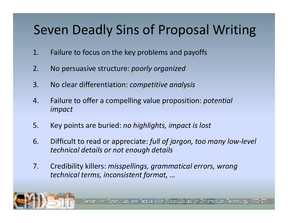### Seven Deadly Sins of Proposal Writing

- 1. Failure to focus on the key problems and payoffs
- 2.No persuasive structure: *poorly organized*
- 3. No clear differentiation: *competitive analysis*
- 4. Failure to offer <sup>a</sup> compelling value proposition: *potential impact*
- 5.Key points are buried: *no highlights highlights, impact is lost*
- 6. Difficult to read or appreciate: *full of jargon, too many low‐level technical details or not enough details*
- 7. Credibility killers: *misspellings, grammatical errors, wrong technical terms, inconsistent format, …*

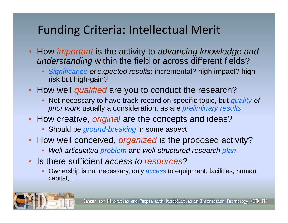#### Funding Criteria: Intellectual Merit

- How *important* is the activity to *advancing knowledge and understanding* within the field or across different fields?
	- Significance of expected results: incremental? high impact? highrisk but high-gain?
- How well *qualified* are you to conduct the research?
	- Not necessary to have track record on specific topic, but *quality of prior work* usually a consideration, as are *preliminary results*
- How creative, *original* are the concepts and ideas?
	- Should be *ground-breaking* in some aspect
- How well conceived, *organized* is the proposed activity?
	- •*Well-articulated problem* and *well-structured research plan*
- Is there sufficient *access to resources*?
	- • Ownership is not necessary, only *access* to equipment, facilities, human capital, …

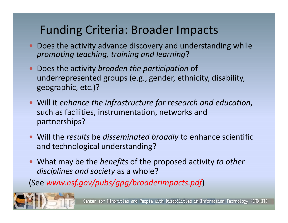#### Funding Criteria: Broader Impacts

- Does the activity advance discovery and understanding while *promoting teaching, training and learning*?
- Does the activity *broaden the participation* of underrepresented groups (e.g., gender, ethnicity, disability, geographic, etc.)?
- Will it *enhance the infrastructure for research and education*, such as facilities, instrumentation, networks and partnerships?
- Will the *results* be *disseminated broadly* to enhance scientific and technological understanding?
- What may be the *benefits* of the proposed activity *to other disciplines and society* as <sup>a</sup> whole?

(See *www nsf gov/pubs/gpg/broaderimpacts pdf www.nsf.gov/pubs/gpg/broaderimpacts.pdf*)

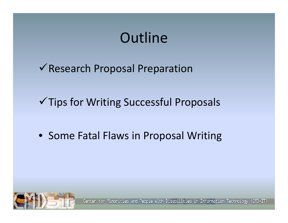## **Outline**

 $\checkmark$  Research Proposal Preparation

 $\checkmark$  Tips for Writing Successful Proposals

• Some Fatal Flaws in Proposal Writing

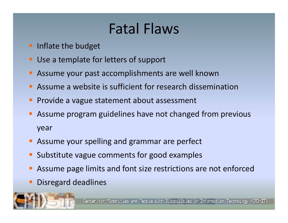## Fatal Flaws

- **Inflate the budget**
- $\blacksquare$ **Use a template for letters of support**
- $\blacksquare$ **Assume your past accomplishments are well known**
- $\blacksquare$ Assume <sup>a</sup> website is sufficient for research dissemination
- П **Provide a vague statement about assessment**
- Ξ **Assume program guidelines have not changed from previous** year
- **Assume your spelling and grammar are perfect**
- $\blacksquare$ **Substitute vague comments for good examples**
- $\blacksquare$ **Assume page limits and font size restrictions are not enforced**
- Disregard deadlines

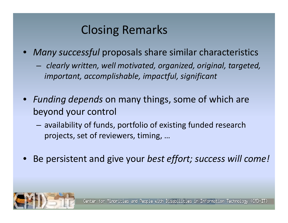#### Closing Remarks

- • *Many successful* proposals share similar characteristics
	- – $-$  clearly written, well motivated, organized, original, targeted, *important, accomplishable, impactful, significant*
- $\bullet$ • Funding depends on many things, some of which are beyond your control
	- $-$  availability of funds, portfolio of existing funded research projects, set of reviewers, timing, …
- •Be persistent and give your *best effort; success will come!*